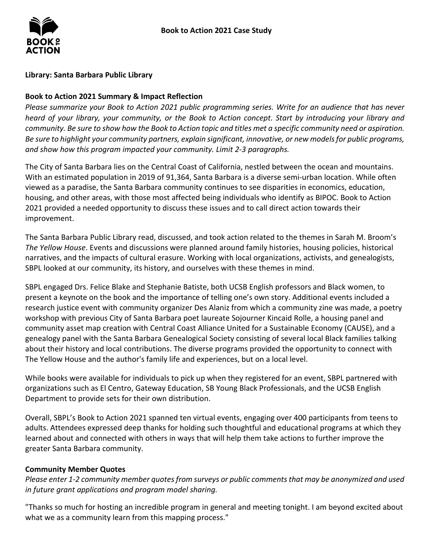

## **Library: Santa Barbara Public Library**

## **Book to Action 2021 Summary & Impact Reflection**

*Please summarize your Book to Action 2021 public programming series. Write for an audience that has never heard of your library, your community, or the Book to Action concept. Start by introducing your library and community. Be sure to show how the Book to Action topic and titles met a specific community need or aspiration. Be sure to highlight your community partners, explain significant, innovative, or new models for public programs, and show how this program impacted your community. Limit 2-3 paragraphs.* 

 With an estimated population in 2019 of 91,364, Santa Barbara is a diverse semi-urban location. While often 2021 provided a needed opportunity to discuss these issues and to call direct action towards their The City of Santa Barbara lies on the Central Coast of California, nestled between the ocean and mountains. viewed as a paradise, the Santa Barbara community continues to see disparities in economics, education, housing, and other areas, with those most affected being individuals who identify as BIPOC. Book to Action improvement.

 The Santa Barbara Public Library read, discussed, and took action related to the themes in Sarah M. Broom's *The Yellow House*. Events and discussions were planned around family histories, housing policies, historical narratives, and the impacts of cultural erasure. Working with local organizations, activists, and genealogists, SBPL looked at our community, its history, and ourselves with these themes in mind.

 SBPL engaged Drs. Felice Blake and Stephanie Batiste, both UCSB English professors and Black women, to present a keynote on the book and the importance of telling one's own story. Additional events included a research justice event with community organizer Des Alaniz from which a community zine was made, a poetry workshop with previous City of Santa Barbara poet laureate Sojourner Kincaid Rolle, a housing panel and genealogy panel with the Santa Barbara Genealogical Society consisting of several local Black families talking about their history and local contributions. The diverse programs provided the opportunity to connect with community asset map creation with Central Coast Alliance United for a Sustainable Economy (CAUSE), and a The Yellow House and the author's family life and experiences, but on a local level.

 While books were available for individuals to pick up when they registered for an event, SBPL partnered with organizations such as El Centro, Gateway Education, SB Young Black Professionals, and the UCSB English Department to provide sets for their own distribution.

 Overall, SBPL's Book to Action 2021 spanned ten virtual events, engaging over 400 participants from teens to adults. Attendees expressed deep thanks for holding such thoughtful and educational programs at which they learned about and connected with others in ways that will help them take actions to further improve the greater Santa Barbara community.

## **Community Member Quotes**

*Please enter 1-2 community member quotes from surveys or public comments that may be anonymized and used in future grant applications and program model sharing.* 

 what we as a community learn from this mapping process." "Thanks so much for hosting an incredible program in general and meeting tonight. I am beyond excited about